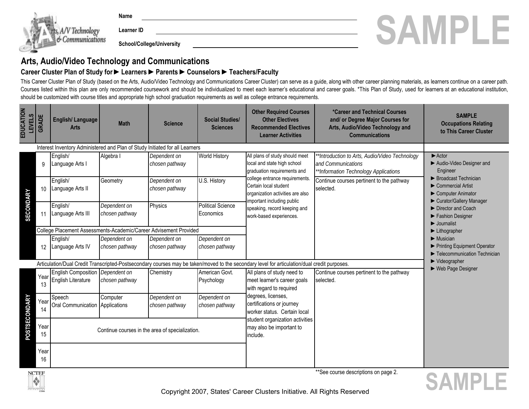

 **Name**

 **Learner ID**

## **Arts, Audio/Video Technology and Communications**

#### **Career Cluster Plan of Study for ►Learners ►Parents ►Counselors ►Teachers/Faculty**

This Career Cluster Plan of Study (based on the Arts, Audio/Video Technology and Communications Career Cluster) can serve as a guide, along with other career planning materials, as learners continue on a career path. Courses listed within this plan are only recommended coursework and should be individualized to meet each learner's educational and career goals. \*This Plan of Study, used for learners at an educational institution, should be customized with course titles and appropriate high school graduation requirements as well as college entrance requirements.

| EDUCATION<br><b>LEVELS</b> | <b>GRADE</b>                                                                                                                                 | <b>English/Language</b><br><b>Arts</b>                                       | <b>Math</b>                    | <b>Science</b>                 | <b>Social Studies/</b><br><b>Sciences</b>                               | <b>Other Required Courses</b><br><b>Other Electives</b><br><b>Recommended Electives</b><br><b>Learner Activities</b>                                                                                                                                                                 | *Career and Technical Courses<br>and/ or Degree Major Courses for<br>Arts, Audio/Video Technology and<br><b>Communications</b> | <b>SAMPLE</b><br><b>Occupations Relating</b><br>to This Career Cluster                                                                                                                                                                                            |
|----------------------------|----------------------------------------------------------------------------------------------------------------------------------------------|------------------------------------------------------------------------------|--------------------------------|--------------------------------|-------------------------------------------------------------------------|--------------------------------------------------------------------------------------------------------------------------------------------------------------------------------------------------------------------------------------------------------------------------------------|--------------------------------------------------------------------------------------------------------------------------------|-------------------------------------------------------------------------------------------------------------------------------------------------------------------------------------------------------------------------------------------------------------------|
|                            |                                                                                                                                              | Interest Inventory Administered and Plan of Study Initiated for all Learners |                                |                                |                                                                         |                                                                                                                                                                                                                                                                                      |                                                                                                                                |                                                                                                                                                                                                                                                                   |
| <b>SECONDARY</b>           | 9                                                                                                                                            | English/<br>Language Arts I                                                  | Algebra I                      | Dependent on<br>chosen pathway | <b>World History</b>                                                    | All plans of study should meet<br>local and state high school<br>graduation requirements and<br>college entrance requirements.<br>Certain local student<br>organization activities are also<br>important including public<br>speaking, record keeping and<br>work-based experiences. | *Introduction to Arts, Audio/Video Technology<br>and Communications<br>**Information Technology Applications                   | $\blacktriangleright$ Actor<br>Audio-Video Designer and<br>Engineer<br>▶ Broadcast Technician<br>$\triangleright$ Commercial Artist<br>Computer Animator<br>Curator/Gallery Manager<br>Director and Coach<br>Fashion Designer<br>$\blacktriangleright$ Journalist |
|                            | 10                                                                                                                                           | English/<br>Language Arts II                                                 | Geometry                       | Dependent on<br>chosen pathway | U.S. History                                                            |                                                                                                                                                                                                                                                                                      | Continue courses pertinent to the pathway<br>selected.                                                                         |                                                                                                                                                                                                                                                                   |
|                            |                                                                                                                                              | English/<br>Language Arts III                                                | Dependent on<br>chosen pathway | Physics                        | <b>Political Science</b><br>Economics                                   |                                                                                                                                                                                                                                                                                      |                                                                                                                                |                                                                                                                                                                                                                                                                   |
|                            |                                                                                                                                              | College Placement Assessments-Academic/Career Advisement Provided            |                                |                                |                                                                         |                                                                                                                                                                                                                                                                                      |                                                                                                                                | $\blacktriangleright$ Lithographer                                                                                                                                                                                                                                |
|                            | 12                                                                                                                                           | English/<br>Language Arts IV                                                 | Dependent on<br>chosen pathway | Dependent on<br>chosen pathway | Dependent on<br>chosen pathway                                          |                                                                                                                                                                                                                                                                                      |                                                                                                                                | $\blacktriangleright$ Musician<br>Printing Equipment Operator<br>Telecommunication Technician                                                                                                                                                                     |
|                            | Articulation/Dual Credit Transcripted-Postsecondary courses may be taken/moved to the secondary level for articulation/dual credit purposes. |                                                                              |                                |                                |                                                                         |                                                                                                                                                                                                                                                                                      |                                                                                                                                | Videographer                                                                                                                                                                                                                                                      |
| POSTSECONDARY              | Year<br>13                                                                                                                                   | English Composition Dependent on<br>English Literature                       | chosen pathway                 | Chemistry                      | American Govt.<br>Psychology                                            | All plans of study need to<br>meet learner's career goals<br>with regard to required<br>degrees, licenses,<br>certifications or journey<br>worker status. Certain local                                                                                                              | Continue courses pertinent to the pathway<br>selected.                                                                         | ► Web Page Designer                                                                                                                                                                                                                                               |
|                            | Year<br>14                                                                                                                                   | Speech<br>Oral Communication Applications                                    | Computer                       | Dependent on<br>chosen pathway | Dependent on<br>chosen pathway                                          |                                                                                                                                                                                                                                                                                      |                                                                                                                                |                                                                                                                                                                                                                                                                   |
|                            | Year<br>15                                                                                                                                   | Continue courses in the area of specialization.                              |                                |                                | student organization activities<br>may also be important to<br>include. |                                                                                                                                                                                                                                                                                      |                                                                                                                                |                                                                                                                                                                                                                                                                   |
|                            | Year<br>16                                                                                                                                   |                                                                              |                                |                                |                                                                         |                                                                                                                                                                                                                                                                                      |                                                                                                                                |                                                                                                                                                                                                                                                                   |



\*\*See course descriptions on page 2.

 **SAMPLE**